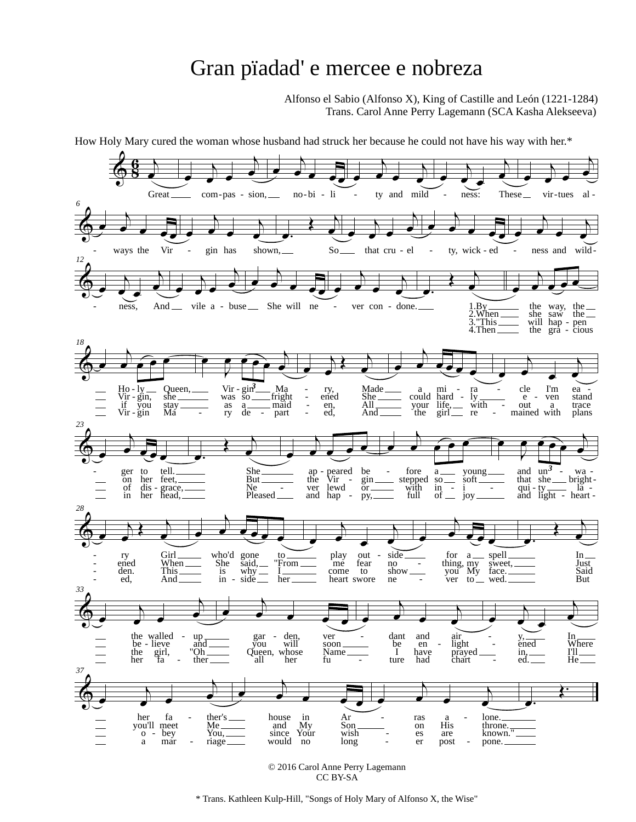## Gran pïadad' e mercee e nobreza

Alfonso el Sabio (Alfonso X), King of Castille and León (1221-1284) Trans. Carol Anne Perry Lagemann (SCA Kasha Alekseeva)



© 2016 Carol Anne Perry Lagemann CC BY-SA

\* Trans. Kathleen Kulp-Hill, "Songs of Holy Mary of Alfonso X, the Wise"